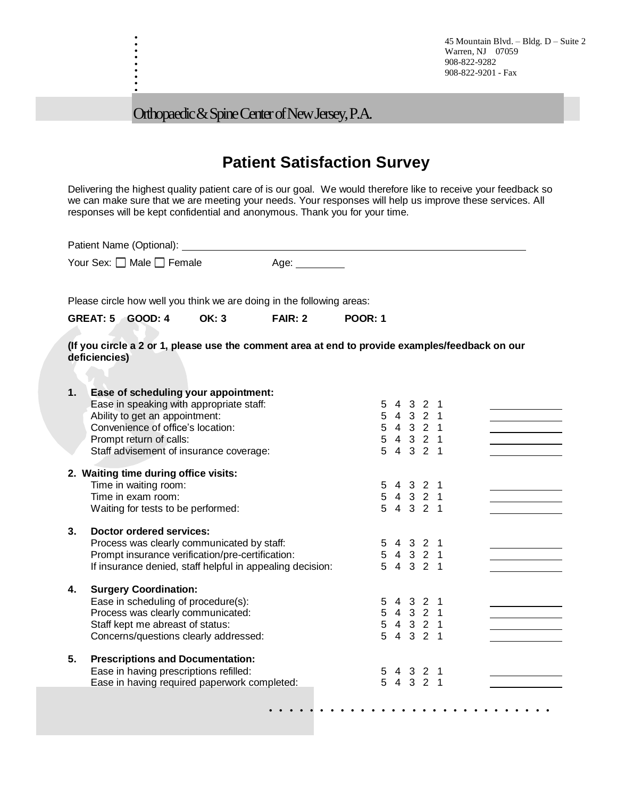45 Mountain Blvd. – Bldg. D – Suite 2 Warren, NJ 07059 908-822-9282 908-822-9201 - Fax

Orthopaedic & Spine Center of New Jersey, P.A.

. . . . . . . . .

## **Patient Satisfaction Survey**

Delivering the highest quality patient care of is our goal. We would therefore like to receive your feedback so we can make sure that we are meeting your needs. Your responses will help us improve these services. All responses will be kept confidential and anonymous. Thank you for your time.

|    | Patient Name (Optional):                                                                                                                                                                                                      |              |                |                |                                                               |  |  |  |
|----|-------------------------------------------------------------------------------------------------------------------------------------------------------------------------------------------------------------------------------|--------------|----------------|----------------|---------------------------------------------------------------|--|--|--|
|    | Your Sex: □ Male □ Female                                                                                                                                                                                                     |              | Age: $\_\_$    |                |                                                               |  |  |  |
|    | Please circle how well you think we are doing in the following areas:                                                                                                                                                         |              |                |                |                                                               |  |  |  |
|    | <b>GREAT: 5 GOOD: 4</b>                                                                                                                                                                                                       | <b>OK: 3</b> | <b>FAIR: 2</b> | <b>POOR: 1</b> |                                                               |  |  |  |
|    | (If you circle a 2 or 1, please use the comment area at end to provide examples/feedback on our<br>deficiencies)                                                                                                              |              |                |                |                                                               |  |  |  |
| 1. | Ease of scheduling your appointment:<br>Ease in speaking with appropriate staff:<br>Ability to get an appointment:<br>Convenience of office's location:<br>Prompt return of calls:<br>Staff advisement of insurance coverage: |              |                |                | 5 4 3 2 1<br>5 4 3 2 1<br>5 4 3 2 1<br>5 4 3 2 1<br>5 4 3 2 1 |  |  |  |
|    | 2. Waiting time during office visits:<br>Time in waiting room:<br>Time in exam room:<br>Waiting for tests to be performed:                                                                                                    |              |                |                | 5 4 3 2 1<br>5 4 3 2 1<br>5 4 3 2 1                           |  |  |  |
| 3. | Doctor ordered services:<br>Process was clearly communicated by staff:<br>Prompt insurance verification/pre-certification:<br>If insurance denied, staff helpful in appealing decision:                                       |              |                |                | 5 4 3 2 1<br>5 4 3 2 1<br>5 4 3 2 1                           |  |  |  |
| 4. | <b>Surgery Coordination:</b><br>Ease in scheduling of procedure(s):<br>Process was clearly communicated:<br>Staff kept me abreast of status:<br>Concerns/questions clearly addressed:                                         |              |                |                | 5 4 3 2 1<br>5 4 3 2 1<br>5 4 3 2 1<br>5 4 3 2 1              |  |  |  |
| 5. | <b>Prescriptions and Documentation:</b><br>Ease in having prescriptions refilled:<br>Ease in having required paperwork completed:                                                                                             |              |                |                | 5 4 3 2 1<br>5 4 3 2 1                                        |  |  |  |
|    |                                                                                                                                                                                                                               |              |                |                |                                                               |  |  |  |